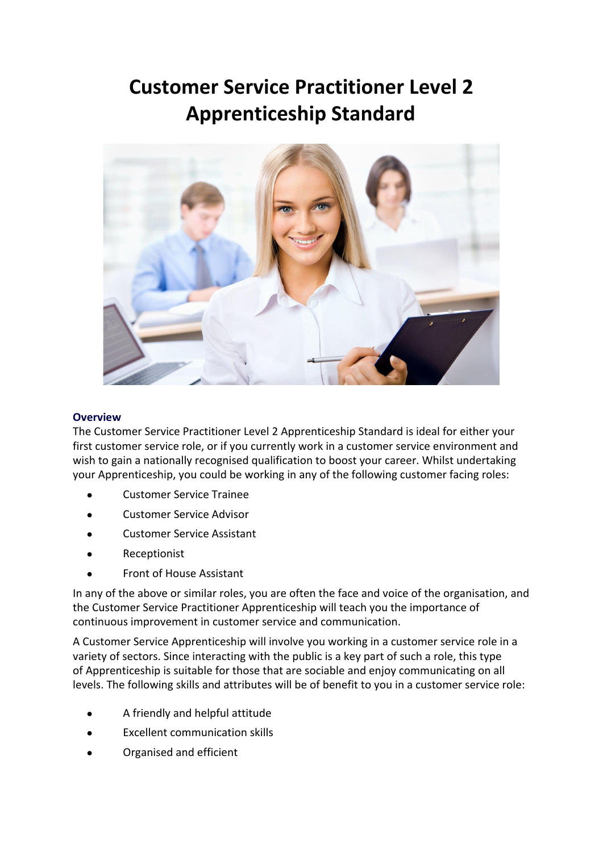# **Customer Service Practitioner Level 2 Apprenticeship Standard**



#### **Overview**

The Customer Service Practitioner Level 2 Apprenticeship Standard is ideal for either your first customer service role, or if you currently work in a customer service environment and wish to gain a nationally recognised qualification to boost your career. Whilst undertaking your Apprenticeship, you could be working in any of the following customer facing roles:

- **Customer Service Trainee**
- Customer Service Advisor
- **Customer Service Assistant**
- Receptionist
- **Front of House Assistant**

In any of the above or similar roles, you are often the face and voice of the organisation, and the Customer Service Practitioner Apprenticeship will teach you the importance of continuous improvement in customer service and communication.

A Customer Service Apprenticeship will involve you working in a customer service role in a variety of sectors. Since interacting with the public is a key part of such a role, this type of Apprenticeship is suitable for those that are sociable and enjoy communicating on all levels. The following skills and attributes will be of benefit to you in a customer service role:

- A friendly and helpful attitude
- **Excellent communication skills**
- Organised and efficient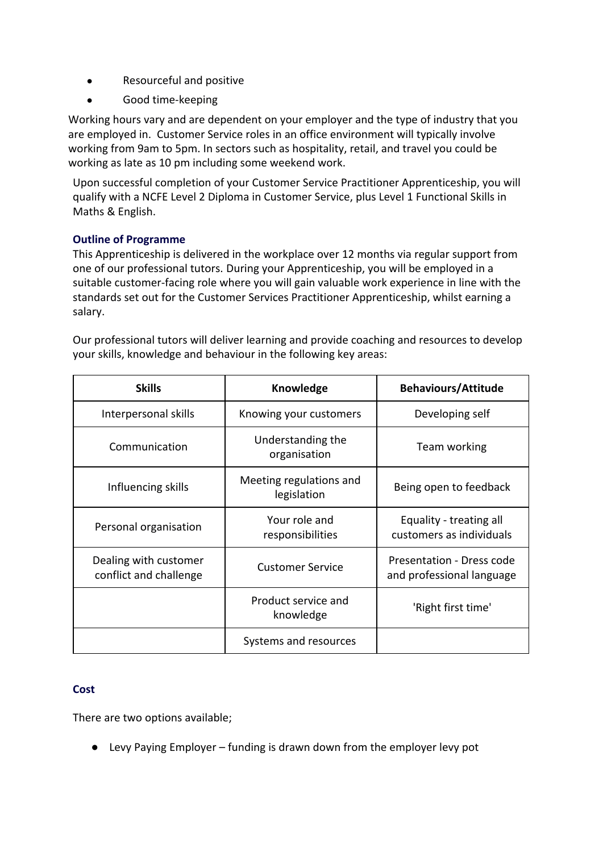- Resourceful and positive
- Good time-keeping

Working hours vary and are dependent on your employer and the type of industry that you are employed in. Customer Service roles in an office environment will typically involve working from 9am to 5pm. In sectors such as hospitality, retail, and travel you could be working as late as 10 pm including some weekend work.

Upon successful completion of your Customer Service Practitioner Apprenticeship, you will qualify with a NCFE Level 2 Diploma in Customer Service, plus Level 1 Functional Skills in Maths & English.

## **Outline of Programme**

This Apprenticeship is delivered in the workplace over 12 months via regular support from one of our professional tutors. During your Apprenticeship, you will be employed in a suitable customer-facing role where you will gain valuable work experience in line with the standards set out for the Customer Services Practitioner Apprenticeship, whilst earning a salary.

Our professional tutors will deliver learning and provide coaching and resources to develop your skills, knowledge and behaviour in the following key areas:

| <b>Skills</b>                                   | Knowledge                              | <b>Behaviours/Attitude</b>                             |
|-------------------------------------------------|----------------------------------------|--------------------------------------------------------|
| Interpersonal skills                            | Knowing your customers                 | Developing self                                        |
| Communication                                   | Understanding the<br>organisation      | Team working                                           |
| Influencing skills                              | Meeting regulations and<br>legislation | Being open to feedback                                 |
| Personal organisation                           | Your role and<br>responsibilities      | Equality - treating all<br>customers as individuals    |
| Dealing with customer<br>conflict and challenge | <b>Customer Service</b>                | Presentation - Dress code<br>and professional language |
|                                                 | Product service and<br>knowledge       | 'Right first time'                                     |
|                                                 | Systems and resources                  |                                                        |

## **Cost**

There are two options available;

● Levy Paying Employer – funding is drawn down from the employer levy pot